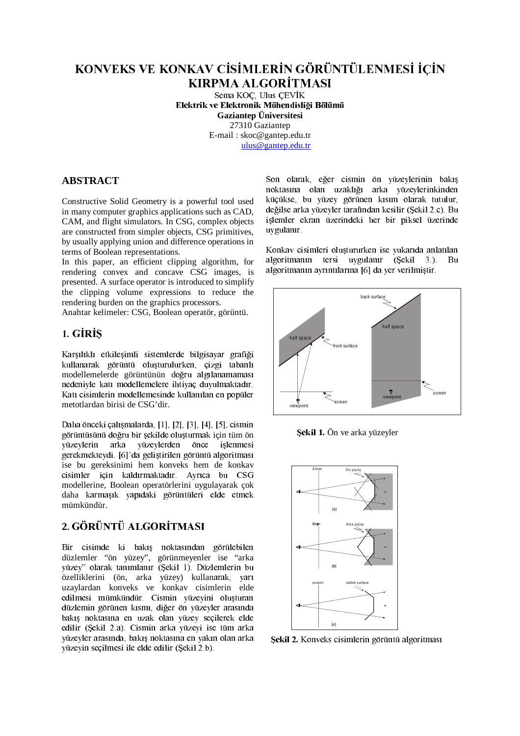# KONVEKS VE KONKAV CİSİMLERİN GÖRÜNTÜLENMESİ İÇİN **KIRPMA ALGORITMASI**

Sema KOC. Ulus CEVİK Elektrik ve Elektronik Mühendisliği Bölümü **Gaziantep Üniversitesi** 27310 Gaziantep E-mail: skoc@gantep.edu.tr ulus@gantep.edu.tr

# **ABSTRACT**

Constructive Solid Geometry is a powerful tool used in many computer graphics applications such as CAD, CAM, and flight simulators. In CSG, complex objects are constructed from simpler objects, CSG primitives, by usually applying union and difference operations in terms of Boolean representations.

In this paper, an efficient clipping algorithm, for rendering convex and concave CSG images, is presented. A surface operator is introduced to simplify the clipping volume expressions to reduce the rendering burden on the graphics processors.

Anahtar kelimeler: CSG, Boolean operatör, görüntü.

# 1. GİRİS

Karşılıklı etkileşimli sistemlerde bilgisayar grafiği kullanarak görüntü oluşturulurken, çizgi tabanlı modellemelerde görüntünün doğru algılanamaması nedeniyle katı modellemelere ihtiyaç duyulmaktadır. Katı cisimlerin modellemesinde kullanılan en popüler metotlardan birisi de CSG'dir.

Daha önceki çalışmalarda, [1], [2], [3], [4], [5], cismin görüntüsünü doğru bir şekilde oluşturmak için tüm ön arka vüzeylerden önce vüzeylerin islenmesi gerekmekteydi. [6]'da geliştirilen görüntü algoritması ise bu gereksinimi hem konveks hem de konkav cisimler icin kaldırmaktadır. Ayrıca bu CSG modellerine, Boolean operatörlerini uygulayarak çok daha karmasık vapıdaki görüntüleri elde etmek mümkündür.

# 2. GÖRÜNTÜ ALGORİTMASI

Bir cisimde ki bakış noktasından görülebilen düzlemler "ön yüzey", görünmeyenler ise "arka yüzey" olarak tanımlanır (Şekil 1). Düzlemlerin bu özelliklerini (ön, arka yüzey) kullanarak, yarı uzaylardan konveks ve konkav cisimlerin elde edilmesi mümkündür. Cismin yüzeyini oluşturan düzlemin görünen kısmı, diğer ön yüzeyler arasında bakıs noktasına en uzak olan yüzey secilerek elde edilir (Sekil 2.a). Cismin arka vüzevi ise tüm arka vüzevler arasında, bakıs noktasına en yakın olan arka vüzevin secilmesi ile elde edilir (Sekil 2.b).

Son olarak, eğer cismin ön yüzeylerinin bakış noktasına olan uzaklığı arka yüzeylerinkinden küçükse, bu yüzey görünen kısım olarak tutulur, değilse arka yüzeyler tarafından kesilir (Şekil 2.c). Bu işlemler ekran üzerindeki her bir piksel üzerinde uv gulanır.

Konkav cisimleri oluştururken ise yukarıda anlatılan algoritmanın tersi uygulanır (Şekil 3.). Bu algoritmanın ayrıntılarına [6] da yer verilmiştir.



Sekil 1. Ön ve arka yüzeyler



Şekil 2. Konveks cisimlerin görüntü algoritması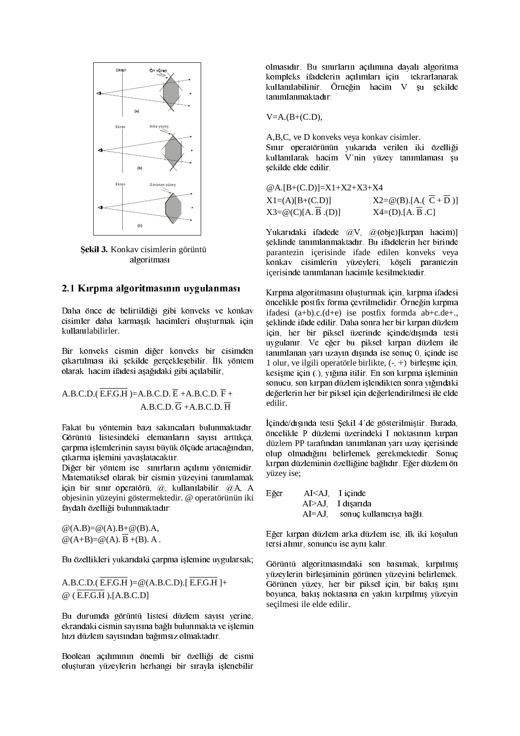

Şekil 3. Konkav cisimlerin görüntü algoritması

#### 2.1 Kırpma algoritmasının uygulanması

Daha önce de belirtildiği gibi konveks ve konkav cisimler daha karmasık hacimleri olusturmak için kullanılabilirler.

Bir konveks cismin diğer konveks bir cisimden cikartılması iki sekilde gerceklesebilir. İlk vöntem olarak hacim ifadesi aşağıdaki gibi açılabilir,

A.B.C.D.  $\overline{E}$ .F.G.H  $)=$ A.B.C.D.  $\overline{E}$  +A.B.C.D.  $\overline{F}$  + A.B.C.D.  $\overline{G}$  +A.B.C.D.  $\overline{H}$ 

Fakat bu yöntemin bazı sakıncaları bulunmaktadır. Görüntü listesindeki elemanların sayısı arttıkça, çarpma işlemlerinin sayısı büyük ölçüde artacağından, çıkarma işlemini yavaşlatacaktır.

Diğer bir yöntem ise sınırların açılımı yöntemidir. Matematiksel olarak bir cismin yüzeyini tanımlamak için bir sınır operatörü, @, kullanılabilir. @A, A objesinin yüzeyini göstermektedir. @ operatörünün iki faydalı özelliği bulunmaktadır:

 $@(A.B)=@(A).B+@(B).A$  $\mathcal{Q}(A+B)=\mathcal{Q}(A)$ .  $\overline{B}+(B)$ . A.

Bu özellikleri yukarıdaki çarpma işlemine uygularsak;

A.B.C.D.( $\overline{E.F.G.H}$ )=@(A.B.C.D).[ $\overline{E.F.G.H}$ ]+  $@$  (E.F.G.H).[A.B.C.D]

Bu durumda görüntü listesi düzlem sayısı yerine, ekrandaki cismin sayısına bağlı bulunmakta ve işlemin hızı düzlem sayısından bağımsız olmaktadır.

Boolean açılımının önemli bir özelliği de cismi oluşturan yüzeylerin herhangi bir sırayla işlenebilir olmasıdır. Bu sınırların açılımına dayalı algoritma kompleks ifadelerin açılımları için tekrarlanarak kullanılabilinir. Örneğin hacim V şu şekilde tanımlanmaktadır:

 $V=A.(B+(C.D)),$ 

A, B, C, ve D konveks veya konkay cisimler.

Sınır operatörünün yukarıda verilen iki özelliği kullanılarak hacim V'nin yüzey tanımlaması şu şekilde elde edilir.

@A.[B+(C.D)]=X1+X2+X3+X4

 $X1=(A)[B+(C.D)]$  $X2 = \omega(B)$ .[A.( $\overline{C} + \overline{D}$ )]  $X4=(D)$ . [A,  $\overline{B}$ , C]  $X3 = \omega(C)[A, \overline{B}.(D)]$ 

Yukarıdaki ifadede  $\overline{a}$ V,  $\overline{a}$ (obje)[kırpan hacim)] şeklinde tanımlanmaktadır. Bu ifadelerin her birinde parantezin içerisinde ifade edilen konveks veya konkav cisimlerin yüzeyleri, köşeli parantezin içerisinde tanımlanan hacimle kesilmektedir.

Kırpma algoritmasını oluşturmak için, kırpma ifadesi öncelikle postfix forma çevrilmelidir. Örneğin kırpma ifadesi  $(a+b)c(d+e)$  ise postfix formda  $ab+c.de+$ . seklinde ifade edilir. Daha sonra her bir kırpan düzlem için, her bir piksel üzerinde içinde/dışında testi uvgulanır. Ve eğer bu piksel kırpan düzlem ile tanımlanan varı uzavın dışında ise sonuc 0, içinde ise 1 olur, ve ilgili operatörle birlikte,  $(-, +)$  birlesme icin. kesisme için (.), yığına itilir. En son kırpma işleminin sonucu, son kırpan düzlem islendikten sonra yığındaki değerlerin her bir piksel için değerlendirilmesi ile elde edilir.

İçinde/dışında testi Şekil 4'de gösterilmiştir. Burada, öncelikle P düzlemi üzerindeki I noktasının kırpan düzlem PP tarafından tanımlanan yarı uzay içerisinde olup olmadığını belirlemek gerekmektedir. Sonuç kırpan düzleminin özelliğine bağlıdır. Eğer düzlem ön yüzey ise;

| Eğer |           | $AI < AI$ , I icinde     |
|------|-----------|--------------------------|
|      |           | $AI> AJ$ I disarida      |
|      | $AI=AJ$ . | sonuç kullanıcıya bağlı. |

Eğer kırpan düzlem arka düzlem ise, ilk iki kosulun tersi alınır, sonuncu ise aynı kalır.

Görüntü algoritmasındaki son basamak, kırpılmış vüzeylerin birleşiminin görünen yüzeyini belirlemek. Görünen yüzey, her bir piksel için, bir bakış ışını boyunca, bakış noktasına en yakın kırpılmış yüzeyin secilmesi ile elde edilir.